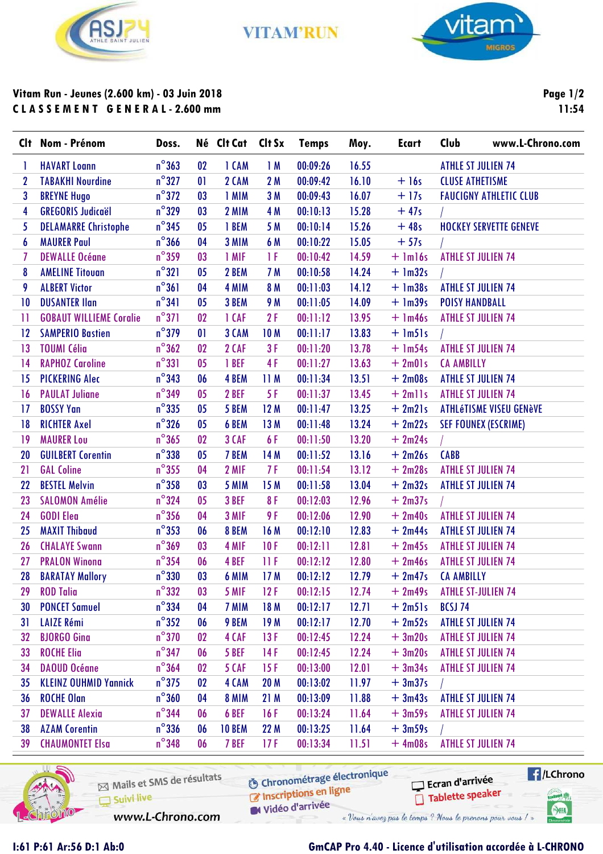

**VITAM'RUN** 



## Vitam Run - Jeunes (2.600 km) - 03 Juin 2018 CLASSEMENT GENERAL-2.600 mm

Page 1/2 11:54

| $n^{\circ}363$<br><b>HAVART Loann</b><br>02<br>1 CAM<br>1M<br>00:09:26<br>16.55<br><b>ATHLE ST JULIEN 74</b><br>1<br>$n^{\circ}327$<br>$+16s$<br><b>CLUSE ATHETISME</b><br><b>TABAKHI Nourdine</b><br>01<br>2 CAM<br>2M<br>00:09:42<br>16.10<br>2<br>$n^{\circ}372$<br><b>BREYNE Hugo</b><br>1 MIM<br>16.07<br>$+17s$<br>3<br>03<br>3 M<br>00:09:43<br><b>FAUCIGNY ATHLETIC CLUB</b><br>$n^{\circ}329$<br><b>GREGORIS Judicaël</b><br>4<br>03<br>2 MIM<br>4 M<br>15.28<br>$+47s$<br>00:10:13<br>$n^{\circ}345$<br><b>DELAMARRE Christophe</b><br>5 M<br>15.26<br>$+48s$<br>5<br>0 <sub>5</sub><br>1 BEM<br>00:10:14<br><b>HOCKEY SERVETTE GENEVE</b><br>$n^{\circ}366$<br><b>MAURER Paul</b><br>04<br>3 MIM<br>6 M<br>15.05<br>$+57s$<br>00:10:22<br>6<br>$n^{\circ}$ 359<br>1F<br>14.59<br>7<br><b>DEWALLE Océane</b><br>03<br>1 MIF<br>00:10:42<br>$+$ 1m16s<br><b>ATHLE ST JULIEN 74</b> |  |
|---------------------------------------------------------------------------------------------------------------------------------------------------------------------------------------------------------------------------------------------------------------------------------------------------------------------------------------------------------------------------------------------------------------------------------------------------------------------------------------------------------------------------------------------------------------------------------------------------------------------------------------------------------------------------------------------------------------------------------------------------------------------------------------------------------------------------------------------------------------------------------------------|--|
|                                                                                                                                                                                                                                                                                                                                                                                                                                                                                                                                                                                                                                                                                                                                                                                                                                                                                             |  |
|                                                                                                                                                                                                                                                                                                                                                                                                                                                                                                                                                                                                                                                                                                                                                                                                                                                                                             |  |
|                                                                                                                                                                                                                                                                                                                                                                                                                                                                                                                                                                                                                                                                                                                                                                                                                                                                                             |  |
|                                                                                                                                                                                                                                                                                                                                                                                                                                                                                                                                                                                                                                                                                                                                                                                                                                                                                             |  |
|                                                                                                                                                                                                                                                                                                                                                                                                                                                                                                                                                                                                                                                                                                                                                                                                                                                                                             |  |
|                                                                                                                                                                                                                                                                                                                                                                                                                                                                                                                                                                                                                                                                                                                                                                                                                                                                                             |  |
|                                                                                                                                                                                                                                                                                                                                                                                                                                                                                                                                                                                                                                                                                                                                                                                                                                                                                             |  |
| $n^{\circ}321$<br>8<br>05<br>2 BEM<br>7 M<br>14.24<br>$+$ 1m32s<br><b>AMELINE Titouan</b><br>00:10:58                                                                                                                                                                                                                                                                                                                                                                                                                                                                                                                                                                                                                                                                                                                                                                                       |  |
| $n^{\circ}361$<br><b>ALBERT Victor</b><br>8 M<br>14.12<br>$+$ 1m38s<br><b>ATHLE ST JULIEN 74</b><br>9<br>04<br>4 MIM<br>00:11:03                                                                                                                                                                                                                                                                                                                                                                                                                                                                                                                                                                                                                                                                                                                                                            |  |
| $n^{\circ}341$<br><b>DUSANTER Ilan</b><br>05<br>3 BEM<br><b>9 M</b><br>14.09<br>$+$ 1m39s<br><b>POISY HANDBALL</b><br>10<br>00:11:05                                                                                                                                                                                                                                                                                                                                                                                                                                                                                                                                                                                                                                                                                                                                                        |  |
| $n^{\circ}371$<br><b>GOBAUT WILLIEME Coralie</b><br>2F<br>13.95<br>02<br>1 CAF<br>00:11:12<br>$+$ 1m46s<br><b>ATHLE ST JULIEN 74</b><br>Ħ                                                                                                                                                                                                                                                                                                                                                                                                                                                                                                                                                                                                                                                                                                                                                   |  |
| $n^{\circ}$ 379<br><b>SAMPERIO Bastien</b><br>01<br>3 CAM<br>00:11:17<br>13.83<br>$+$ $lm5$ ]s<br>12<br><b>10M</b>                                                                                                                                                                                                                                                                                                                                                                                                                                                                                                                                                                                                                                                                                                                                                                          |  |
| $n^{\circ}362$<br><b>TOUMI Célia</b><br>2 CAF<br>3F<br>13.78<br>$+$ 1m54s<br><b>ATHLE ST JULIEN 74</b><br>13<br>02<br>00:11:20                                                                                                                                                                                                                                                                                                                                                                                                                                                                                                                                                                                                                                                                                                                                                              |  |
| $n^{\circ}331$<br><b>RAPHOZ Caroline</b><br>1 BEF<br>4F<br>13.63<br>$+2m01s$<br>14<br>05<br>00:11:27<br><b>CA AMBILLY</b>                                                                                                                                                                                                                                                                                                                                                                                                                                                                                                                                                                                                                                                                                                                                                                   |  |
| $n^{\circ}$ 343<br><b>PICKERING Alec</b><br>4 BEM<br>13.51<br>$+2m08s$<br><b>ATHLE ST JULIEN 74</b><br>15<br>06<br>11 M<br>00:11:34                                                                                                                                                                                                                                                                                                                                                                                                                                                                                                                                                                                                                                                                                                                                                         |  |
| $n^{\circ}$ 349<br><b>PAULAT Juliane</b><br>0 <sub>5</sub><br>2 BEF<br>5F<br>13.45<br>$+ 2$ mlls<br><b>ATHLE ST JULIEN 74</b><br>00:11:37<br>16                                                                                                                                                                                                                                                                                                                                                                                                                                                                                                                                                                                                                                                                                                                                             |  |
| $n^{\circ}335$<br><b>BOSSY Yan</b><br>13.25<br>$+2m21s$<br><b>ATHLéTISME VISEU GENèVE</b><br>17<br>05<br>5 BEM<br>12 M<br>00:11:47                                                                                                                                                                                                                                                                                                                                                                                                                                                                                                                                                                                                                                                                                                                                                          |  |
| $n^{\circ}326$<br><b>RICHTER Axel</b><br>05<br>6 BEM<br>13M<br>00:11:48<br>13.24<br>$+2m22s$<br>18<br><b>SEF FOUNEX (ESCRIME)</b>                                                                                                                                                                                                                                                                                                                                                                                                                                                                                                                                                                                                                                                                                                                                                           |  |
| $n^{\circ}365$<br><b>MAURER Lou</b><br>3 CAF<br>6F<br>13.20<br>$+2m24s$<br>19<br>02<br>00:11:50                                                                                                                                                                                                                                                                                                                                                                                                                                                                                                                                                                                                                                                                                                                                                                                             |  |
| $n^{\circ}338$<br><b>CABB</b><br><b>GUILBERT Corentin</b><br>05<br>7 BEM<br>14 M<br>13.16<br>$+2m26s$<br>20<br>00:11:52                                                                                                                                                                                                                                                                                                                                                                                                                                                                                                                                                                                                                                                                                                                                                                     |  |
| $n^{\circ}355$<br><b>GAL Coline</b><br>2 MIF<br>7F<br>13.12<br>$+2m28s$<br><b>ATHLE ST JULIEN 74</b><br>21<br>04<br>00:11:54                                                                                                                                                                                                                                                                                                                                                                                                                                                                                                                                                                                                                                                                                                                                                                |  |
| $n^{\circ}$ 358<br><b>BESTEL Melvin</b><br>03<br>5 MIM<br>15 M<br>13.04<br><b>ATHLE ST JULIEN 74</b><br>22<br>00:11:58<br>$+2m32s$                                                                                                                                                                                                                                                                                                                                                                                                                                                                                                                                                                                                                                                                                                                                                          |  |
| $n^{\circ}324$<br><b>SALOMON Amélie</b><br>3 BEF<br>8F<br>12.96<br>$+2m37s$<br>23<br>0 <sub>5</sub><br>00:12:03                                                                                                                                                                                                                                                                                                                                                                                                                                                                                                                                                                                                                                                                                                                                                                             |  |
| $n^{\circ}$ 356<br>9F<br><b>ATHLE ST JULIEN 74</b><br><b>GODI Elea</b><br>04<br>3 MIF<br>12.90<br>$+2m40s$<br>24<br>00:12:06                                                                                                                                                                                                                                                                                                                                                                                                                                                                                                                                                                                                                                                                                                                                                                |  |
| $n^{\circ}353$<br><b>MAXIT Thibaud</b><br>12.83<br><b>ATHLE ST JULIEN 74</b><br>25<br>06<br>8 BEM<br>16 M<br>00:12:10<br>$+2m44s$                                                                                                                                                                                                                                                                                                                                                                                                                                                                                                                                                                                                                                                                                                                                                           |  |
| $n^{\circ}369$<br><b>ATHLE ST JULIEN 74</b><br><b>CHALAYE Swann</b><br>03<br>4 MIF<br>10F<br>12.81<br>$+2m45s$<br>00:12:11<br>26                                                                                                                                                                                                                                                                                                                                                                                                                                                                                                                                                                                                                                                                                                                                                            |  |
| $n^{\circ}$ 354<br><b>ATHLE ST JULIEN 74</b><br><b>PRALON Winong</b><br>4 BEF<br>11 F<br>00:12:12<br>12.80<br>$+2m46s$<br>27<br>06                                                                                                                                                                                                                                                                                                                                                                                                                                                                                                                                                                                                                                                                                                                                                          |  |
| $n^{\circ}330$<br>03<br>28<br><b>BARATAY Mallory</b><br>6 MIM<br>17 M<br>00:12:12<br>12.79<br>$+2m47s$<br><b>CA AMBILLY</b>                                                                                                                                                                                                                                                                                                                                                                                                                                                                                                                                                                                                                                                                                                                                                                 |  |
| <b>ROD Talia</b><br>$n^{\circ}332$<br>5 MIF<br>12F<br>00:12:15<br>12.74<br>$+2m49s$<br><b>ATHLE ST-JULIEN 74</b><br>29<br>03                                                                                                                                                                                                                                                                                                                                                                                                                                                                                                                                                                                                                                                                                                                                                                |  |
| $n^{\circ}$ 334<br><b>PONCET Samuel</b><br>7 MIM<br>00:12:17<br>12.71<br>$+2m51s$<br><b>BCSJ 74</b><br>30<br>04<br>18 M                                                                                                                                                                                                                                                                                                                                                                                                                                                                                                                                                                                                                                                                                                                                                                     |  |
| $n^{\circ}352$<br><b>LAIZE Rémi</b><br>9 BEM<br>19 M<br>00:12:17<br>12.70<br>$+2m52s$<br><b>ATHLE ST JULIEN 74</b><br>31<br>06                                                                                                                                                                                                                                                                                                                                                                                                                                                                                                                                                                                                                                                                                                                                                              |  |
| $n^{\circ}$ 370<br><b>BJORGO Gina</b><br>12.24<br>$+3m20s$<br><b>ATHLE ST JULIEN 74</b><br>02<br>4 CAF<br>13F<br>00:12:45<br>32                                                                                                                                                                                                                                                                                                                                                                                                                                                                                                                                                                                                                                                                                                                                                             |  |
| $n^{\circ}$ 347<br><b>ROCHE Elia</b><br>$+3m20s$<br><b>ATHLE ST JULIEN 74</b><br>5 BEF<br>14 F<br>00:12:45<br>12.24<br>33<br>06                                                                                                                                                                                                                                                                                                                                                                                                                                                                                                                                                                                                                                                                                                                                                             |  |
| $n^{\circ}364$<br><b>DAOUD Océane</b><br>5 CAF<br>$+3m34s$<br><b>ATHLE ST JULIEN 74</b><br>34<br>02<br>15F<br>00:13:00<br>12.01                                                                                                                                                                                                                                                                                                                                                                                                                                                                                                                                                                                                                                                                                                                                                             |  |
| $n^{\circ}$ 375<br><b>KLEINZ OUHMID Yannick</b><br>4 CAM<br>11.97<br>$+3m37s$<br>35<br>20 <sub>M</sub><br>00:13:02<br>$02\,$                                                                                                                                                                                                                                                                                                                                                                                                                                                                                                                                                                                                                                                                                                                                                                |  |
| $n^{\circ}$ 360<br><b>ROCHE Olan</b><br>8 MIM<br>21 M<br>11.88<br>$+3m43s$<br><b>ATHLE ST JULIEN 74</b><br>36<br>04<br>00:13:09                                                                                                                                                                                                                                                                                                                                                                                                                                                                                                                                                                                                                                                                                                                                                             |  |
| $n^{\circ}$ 344<br><b>DEWALLE Alexia</b><br>6 BEF<br>00:13:24<br>11.64<br>$+3m59s$<br><b>ATHLE ST JULIEN 74</b><br>37<br>16F<br>06                                                                                                                                                                                                                                                                                                                                                                                                                                                                                                                                                                                                                                                                                                                                                          |  |
| $n^{\circ}$ 336<br><b>AZAM Corentin</b><br>38<br><b>10 BEM</b><br>22 M<br>00:13:25<br>11.64<br>$+3m59s$<br>06                                                                                                                                                                                                                                                                                                                                                                                                                                                                                                                                                                                                                                                                                                                                                                               |  |
| $n^{\circ}$ 348<br><b>CHAUMONTET Elsa</b><br>7 BEF<br>00:13:34<br>11.51<br>$+4m08s$<br><b>ATHLE ST JULIEN 74</b><br>39<br>06<br>17F                                                                                                                                                                                                                                                                                                                                                                                                                                                                                                                                                                                                                                                                                                                                                         |  |



1:61 P:61 Ar:56 D:1 Ab:0

Mails et SMS de résultats Suivi live www.L-Chrono.com

**6** Chronométrage électronique Inscriptions en ligne

Vidéo d'arrivée

 $\blacksquare$ /LChrono Ecran d'arrivée Tablette speaker

**Great** 

 $\bigcirc$ HA

## GmCAP Pro 4.40 - Licence d'utilisation accordée à L-CHRONO

« Vous n'avez pas le temps ? Nous le prenons pour vous ! »